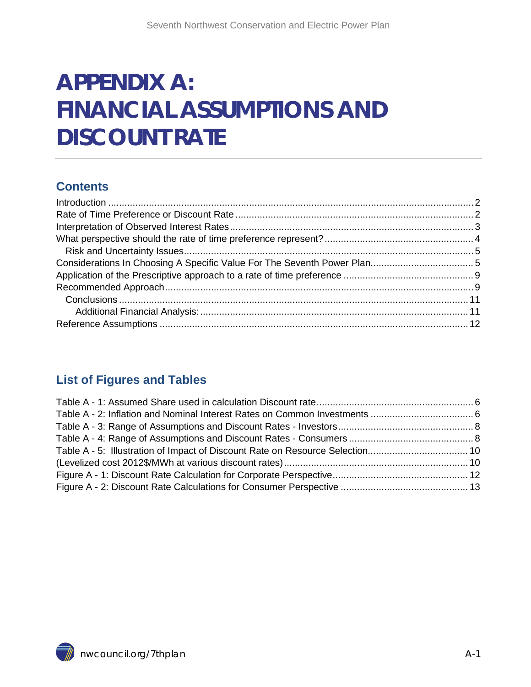# **APPENDIX A: FINANCIAL ASSUMPTIONS AND DISCOUNT RATE**

#### **Contents**

#### **List of Figures and Tables**

<span id="page-0-0"></span>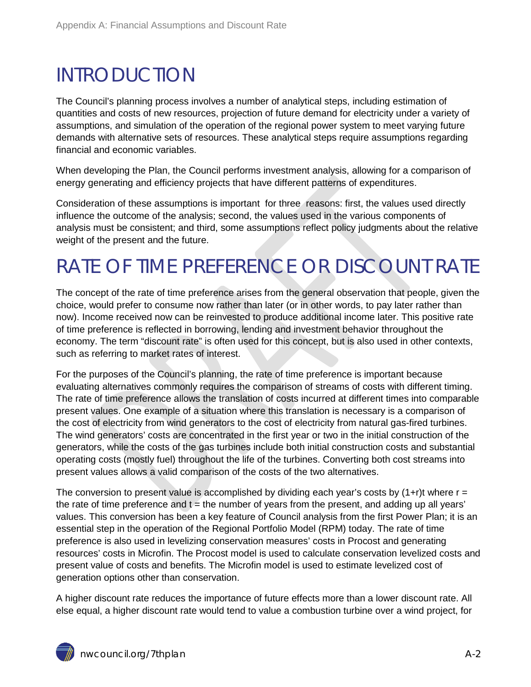### <span id="page-1-0"></span>INTRODUCTION

The Council's planning process involves a number of analytical steps, including estimation of quantities and costs of new resources, projection of future demand for electricity under a variety of assumptions, and simulation of the operation of the regional power system to meet varying future demands with alternative sets of resources. These analytical steps require assumptions regarding financial and economic variables.

When developing the Plan, the Council performs investment analysis, allowing for a comparison of energy generating and efficiency projects that have different patterns of expenditures.

Consideration of these assumptions is important for three reasons: first, the values used directly influence the outcome of the analysis; second, the values used in the various components of analysis must be consistent; and third, some assumptions reflect policy judgments about the relative weight of the present and the future.

## <span id="page-1-1"></span>RATE OF TIME PREFERENCE OR DISCOUNT RATE

The concept of the rate of time preference arises from the general observation that people, given the choice, would prefer to consume now rather than later (or in other words, to pay later rather than now). Income received now can be reinvested to produce additional income later. This positive rate of time preference is reflected in borrowing, lending and investment behavior throughout the economy. The term "discount rate" is often used for this concept, but is also used in other contexts, such as referring to market rates of interest.

For the purposes of the Council's planning, the rate of time preference is important because evaluating alternatives commonly requires the comparison of streams of costs with different timing. The rate of time preference allows the translation of costs incurred at different times into comparable present values. One example of a situation where this translation is necessary is a comparison of the cost of electricity from wind generators to the cost of electricity from natural gas-fired turbines. The wind generators' costs are concentrated in the first year or two in the initial construction of the generators, while the costs of the gas turbines include both initial construction costs and substantial operating costs (mostly fuel) throughout the life of the turbines. Converting both cost streams into present values allows a valid comparison of the costs of the two alternatives.

The conversion to present value is accomplished by dividing each year's costs by  $(1+r)t$  where  $r =$ the rate of time preference and  $t =$  the number of years from the present, and adding up all years' values. This conversion has been a key feature of Council analysis from the first Power Plan; it is an essential step in the operation of the Regional Portfolio Model (RPM) today. The rate of time preference is also used in levelizing conservation measures' costs in Procost and generating resources' costs in Microfin. The Procost model is used to calculate conservation levelized costs and present value of costs and benefits. The Microfin model is used to estimate levelized cost of generation options other than conservation.

A higher discount rate reduces the importance of future effects more than a lower discount rate. All else equal, a higher discount rate would tend to value a combustion turbine over a wind project, for

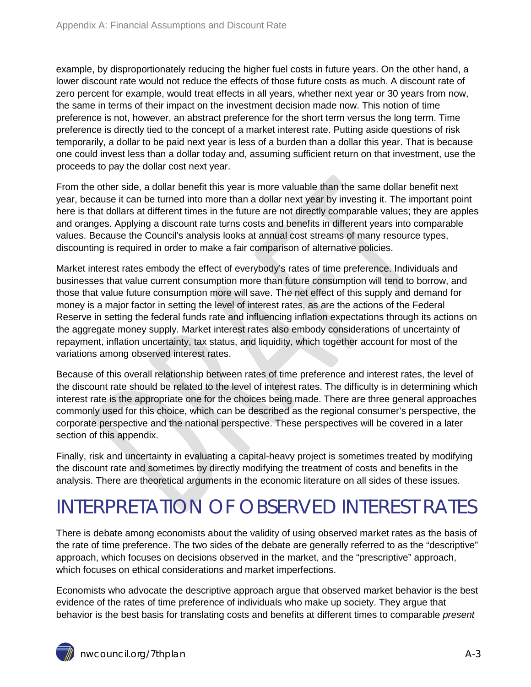example, by disproportionately reducing the higher fuel costs in future years. On the other hand, a lower discount rate would not reduce the effects of those future costs as much. A discount rate of zero percent for example, would treat effects in all years, whether next year or 30 years from now, the same in terms of their impact on the investment decision made now. This notion of time preference is not, however, an abstract preference for the short term versus the long term. Time preference is directly tied to the concept of a market interest rate. Putting aside questions of risk temporarily, a dollar to be paid next year is less of a burden than a dollar this year. That is because one could invest less than a dollar today and, assuming sufficient return on that investment, use the proceeds to pay the dollar cost next year.

From the other side, a dollar benefit this year is more valuable than the same dollar benefit next year, because it can be turned into more than a dollar next year by investing it. The important point here is that dollars at different times in the future are not directly comparable values; they are apples and oranges. Applying a discount rate turns costs and benefits in different years into comparable values. Because the Council's analysis looks at annual cost streams of many resource types, discounting is required in order to make a fair comparison of alternative policies.

Market interest rates embody the effect of everybody's rates of time preference. Individuals and businesses that value current consumption more than future consumption will tend to borrow, and those that value future consumption more will save. The net effect of this supply and demand for money is a major factor in setting the level of interest rates, as are the actions of the Federal Reserve in setting the federal funds rate and influencing inflation expectations through its actions on the aggregate money supply. Market interest rates also embody considerations of uncertainty of repayment, inflation uncertainty, tax status, and liquidity, which together account for most of the variations among observed interest rates.

Because of this overall relationship between rates of time preference and interest rates, the level of the discount rate should be related to the level of interest rates. The difficulty is in determining which interest rate is the appropriate one for the choices being made. There are three general approaches commonly used for this choice, which can be described as the regional consumer's perspective, the corporate perspective and the national perspective. These perspectives will be covered in a later section of this appendix.

Finally, risk and uncertainty in evaluating a capital-heavy project is sometimes treated by modifying the discount rate and sometimes by directly modifying the treatment of costs and benefits in the analysis. There are theoretical arguments in the economic literature on all sides of these issues.

## <span id="page-2-0"></span>INTERPRETATION OF OBSERVED INTEREST RATES

There is debate among economists about the validity of using observed market rates as the basis of the rate of time preference. The two sides of the debate are generally referred to as the "descriptive" approach, which focuses on decisions observed in the market, and the "prescriptive" approach, which focuses on ethical considerations and market imperfections.

Economists who advocate the descriptive approach argue that observed market behavior is the best evidence of the rates of time preference of individuals who make up society. They argue that behavior is the best basis for translating costs and benefits at different times to comparable *present*

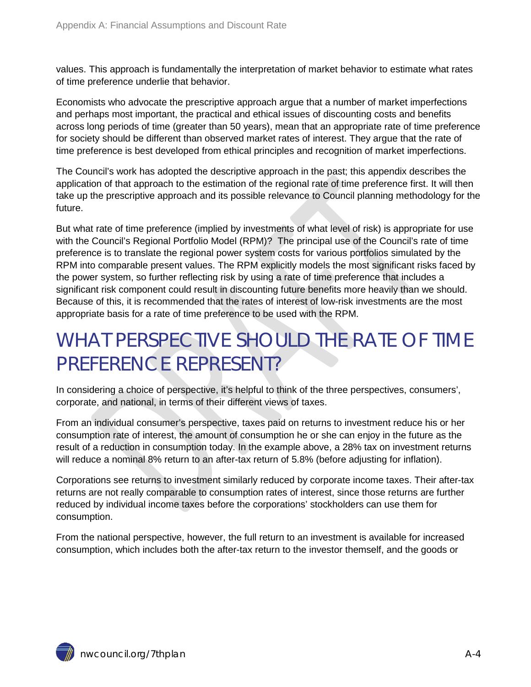values. This approach is fundamentally the interpretation of market behavior to estimate what rates of time preference underlie that behavior.

Economists who advocate the prescriptive approach argue that a number of market imperfections and perhaps most important, the practical and ethical issues of discounting costs and benefits across long periods of time (greater than 50 years), mean that an appropriate rate of time preference for society should be different than observed market rates of interest. They argue that the rate of time preference is best developed from ethical principles and recognition of market imperfections.

The Council's work has adopted the descriptive approach in the past; this appendix describes the application of that approach to the estimation of the regional rate of time preference first. It will then take up the prescriptive approach and its possible relevance to Council planning methodology for the future.

But what rate of time preference (implied by investments of what level of risk) is appropriate for use with the Council's Regional Portfolio Model (RPM)? The principal use of the Council's rate of time preference is to translate the regional power system costs for various portfolios simulated by the RPM into comparable present values. The RPM explicitly models the most significant risks faced by the power system, so further reflecting risk by using a rate of time preference that includes a significant risk component could result in discounting future benefits more heavily than we should. Because of this, it is recommended that the rates of interest of low-risk investments are the most appropriate basis for a rate of time preference to be used with the RPM.

### <span id="page-3-0"></span>WHAT PERSPECTIVE SHOULD THE RATE OF TIME PREFERENCE REPRESENT?

In considering a choice of perspective, it's helpful to think of the three perspectives, consumers', corporate, and national, in terms of their different views of taxes.

From an individual consumer's perspective, taxes paid on returns to investment reduce his or her consumption rate of interest, the amount of consumption he or she can enjoy in the future as the result of a reduction in consumption today. In the example above, a 28% tax on investment returns will reduce a nominal 8% return to an after-tax return of 5.8% (before adjusting for inflation).

Corporations see returns to investment similarly reduced by corporate income taxes. Their after-tax returns are not really comparable to consumption rates of interest, since those returns are further reduced by individual income taxes before the corporations' stockholders can use them for consumption.

From the national perspective, however, the full return to an investment is available for increased consumption, which includes both the after-tax return to the investor themself, and the goods or

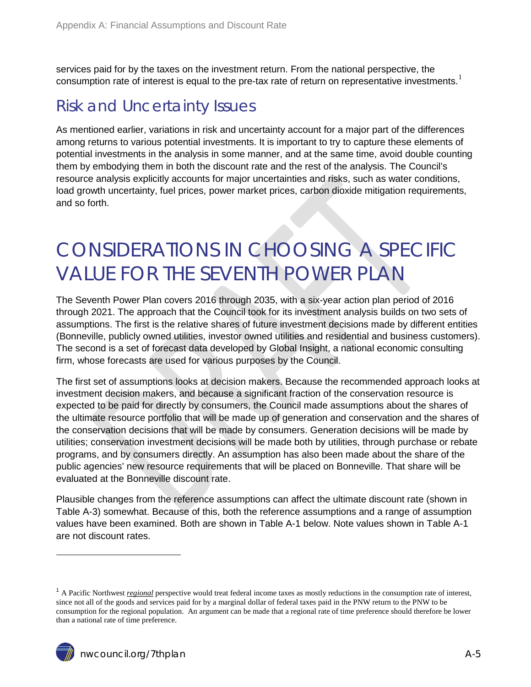services paid for by the taxes on the investment return. From the national perspective, the consumption rate of interest is equal to the pre-tax rate of return on representative investments.<sup>[1](#page-0-0)</sup>

#### <span id="page-4-0"></span>Risk and Uncertainty Issues

As mentioned earlier, variations in risk and uncertainty account for a major part of the differences among returns to various potential investments. It is important to try to capture these elements of potential investments in the analysis in some manner, and at the same time, avoid double counting them by embodying them in both the discount rate and the rest of the analysis. The Council's resource analysis explicitly accounts for major uncertainties and risks, such as water conditions, load growth uncertainty, fuel prices, power market prices, carbon dioxide mitigation requirements, and so forth.

#### <span id="page-4-1"></span>CONSIDERATIONS IN CHOOSING A SPECIFIC VALUE FOR THE SEVENTH POWER PLAN

The Seventh Power Plan covers 2016 through 2035, with a six-year action plan period of 2016 through 2021. The approach that the Council took for its investment analysis builds on two sets of assumptions. The first is the relative shares of future investment decisions made by different entities (Bonneville, publicly owned utilities, investor owned utilities and residential and business customers). The second is a set of forecast data developed by Global Insight, a national economic consulting firm, whose forecasts are used for various purposes by the Council.

The first set of assumptions looks at decision makers. Because the recommended approach looks at investment decision makers, and because a significant fraction of the conservation resource is expected to be paid for directly by consumers, the Council made assumptions about the shares of the ultimate resource portfolio that will be made up of generation and conservation and the shares of the conservation decisions that will be made by consumers. Generation decisions will be made by utilities; conservation investment decisions will be made both by utilities, through purchase or rebate programs, and by consumers directly. An assumption has also been made about the share of the public agencies' new resource requirements that will be placed on Bonneville. That share will be evaluated at the Bonneville discount rate.

Plausible changes from the reference assumptions can affect the ultimate discount rate (shown in Table A-3) somewhat. Because of this, both the reference assumptions and a range of assumption values have been examined. Both are shown in Table A-1 below. Note values shown in Table A-1 are not discount rates.

 $\overline{a}$ 

<span id="page-4-2"></span><sup>1</sup> A Pacific Northwest *regional* perspective would treat federal income taxes as mostly reductions in the consumption rate of interest, since not all of the goods and services paid for by a marginal dollar of federal taxes paid in the PNW return to the PNW to be consumption for the regional population. An argument can be made that a regional rate of time preference should therefore be lower than a national rate of time preference.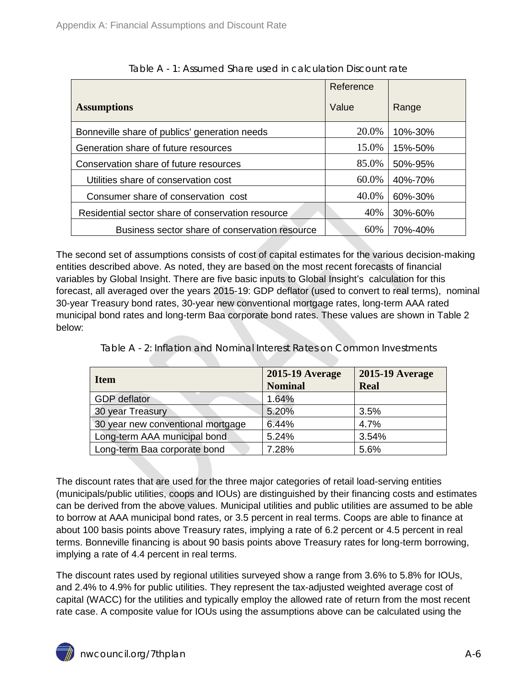<span id="page-5-0"></span>

|                                                   | Reference |         |
|---------------------------------------------------|-----------|---------|
| <b>Assumptions</b>                                | Value     | Range   |
| Bonneville share of publics' generation needs     | 20.0%     | 10%-30% |
| Generation share of future resources              | 15.0%     | 15%-50% |
| Conservation share of future resources            | 85.0%     | 50%-95% |
| Utilities share of conservation cost              | 60.0%     | 40%-70% |
| Consumer share of conservation cost               | 40.0%     | 60%-30% |
| Residential sector share of conservation resource | 40%       | 30%-60% |
| Business sector share of conservation resource    | 60%       | 70%-40% |

The second set of assumptions consists of cost of capital estimates for the various decision-making entities described above. As noted, they are based on the most recent forecasts of financial variables by Global Insight. There are five basic inputs to Global Insight's calculation for this forecast, all averaged over the years 2015-19: GDP deflator (used to convert to real terms), nominal 30-year Treasury bond rates, 30-year new conventional mortgage rates, long-term AAA rated municipal bond rates and long-term Baa corporate bond rates. These values are shown in Table 2 below:

<span id="page-5-1"></span>

| <b>Item</b>                       | <b>2015-19 Average</b><br><b>Nominal</b> | <b>2015-19 Average</b><br><b>Real</b> |
|-----------------------------------|------------------------------------------|---------------------------------------|
| <b>GDP</b> deflator               | 1.64%                                    |                                       |
| 30 year Treasury                  | 5.20%                                    | 3.5%                                  |
| 30 year new conventional mortgage | 6.44%                                    | 4.7%                                  |
| Long-term AAA municipal bond      | 5.24%                                    | 3.54%                                 |
| Long-term Baa corporate bond      | 7.28%                                    | 5.6%                                  |

Table A - 2: Inflation and Nominal Interest Rates on Common Investments

The discount rates that are used for the three major categories of retail load-serving entities (municipals/public utilities, coops and IOUs) are distinguished by their financing costs and estimates can be derived from the above values. Municipal utilities and public utilities are assumed to be able to borrow at AAA municipal bond rates, or 3.5 percent in real terms. Coops are able to finance at about 100 basis points above Treasury rates, implying a rate of 6.2 percent or 4.5 percent in real terms. Bonneville financing is about 90 basis points above Treasury rates for long-term borrowing, implying a rate of 4.4 percent in real terms.

The discount rates used by regional utilities surveyed show a range from 3.6% to 5.8% for IOUs, and 2.4% to 4.9% for public utilities. They represent the tax-adjusted weighted average cost of capital (WACC) for the utilities and typically employ the allowed rate of return from the most recent rate case. A composite value for IOUs using the assumptions above can be calculated using the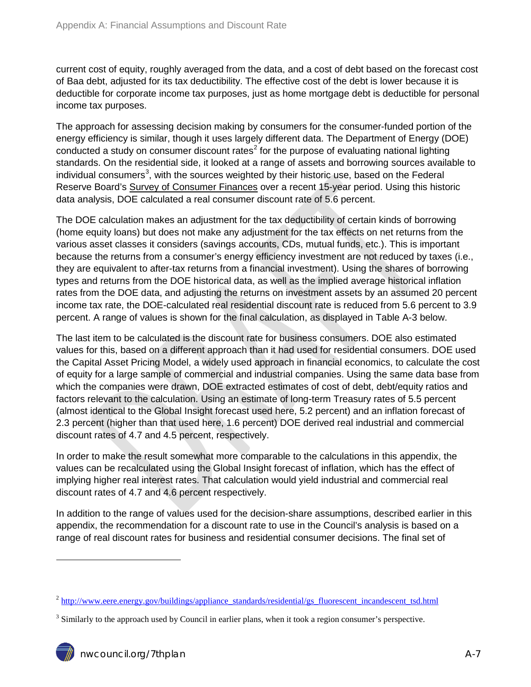current cost of equity, roughly averaged from the data, and a cost of debt based on the forecast cost of Baa debt, adjusted for its tax deductibility. The effective cost of the debt is lower because it is deductible for corporate income tax purposes, just as home mortgage debt is deductible for personal income tax purposes.

The approach for assessing decision making by consumers for the consumer-funded portion of the energy efficiency is similar, though it uses largely different data. The Department of Energy (DOE) conducted a study on consumer discount rates<sup>[2](#page-4-2)</sup> for the purpose of evaluating national lighting standards. On the residential side, it looked at a range of assets and borrowing sources available to individual consumers<sup>[3](#page-6-0)</sup>, with the sources weighted by their historic use, based on the Federal Reserve Board's Survey of Consumer Finances over a recent 15-year period. Using this historic data analysis, DOE calculated a real consumer discount rate of 5.6 percent.

The DOE calculation makes an adjustment for the tax deductibility of certain kinds of borrowing (home equity loans) but does not make any adjustment for the tax effects on net returns from the various asset classes it considers (savings accounts, CDs, mutual funds, etc.). This is important because the returns from a consumer's energy efficiency investment are not reduced by taxes (i.e., they are equivalent to after-tax returns from a financial investment). Using the shares of borrowing types and returns from the DOE historical data, as well as the implied average historical inflation rates from the DOE data, and adjusting the returns on investment assets by an assumed 20 percent income tax rate, the DOE-calculated real residential discount rate is reduced from 5.6 percent to 3.9 percent. A range of values is shown for the final calculation, as displayed in Table A-3 below.

The last item to be calculated is the discount rate for business consumers. DOE also estimated values for this, based on a different approach than it had used for residential consumers. DOE used the Capital Asset Pricing Model, a widely used approach in financial economics, to calculate the cost of equity for a large sample of commercial and industrial companies. Using the same data base from which the companies were drawn, DOE extracted estimates of cost of debt, debt/equity ratios and factors relevant to the calculation. Using an estimate of long-term Treasury rates of 5.5 percent (almost identical to the Global Insight forecast used here, 5.2 percent) and an inflation forecast of 2.3 percent (higher than that used here, 1.6 percent) DOE derived real industrial and commercial discount rates of 4.7 and 4.5 percent, respectively.

In order to make the result somewhat more comparable to the calculations in this appendix, the values can be recalculated using the Global Insight forecast of inflation, which has the effect of implying higher real interest rates. That calculation would yield industrial and commercial real discount rates of 4.7 and 4.6 percent respectively.

In addition to the range of values used for the decision-share assumptions, described earlier in this appendix, the recommendation for a discount rate to use in the Council's analysis is based on a range of real discount rates for business and residential consumer decisions. The final set of

-

<sup>&</sup>lt;sup>2</sup> [http://www.eere.energy.gov/buildings/appliance\\_standards/residential/gs\\_fluorescent\\_incandescent\\_tsd.html](http://www.eere.energy.gov/buildings/appliance_standards/residential/gs_fluorescent_incandescent_tsd.html)

<span id="page-6-0"></span><sup>&</sup>lt;sup>3</sup> Similarly to the approach used by Council in earlier plans, when it took a region consumer's perspective.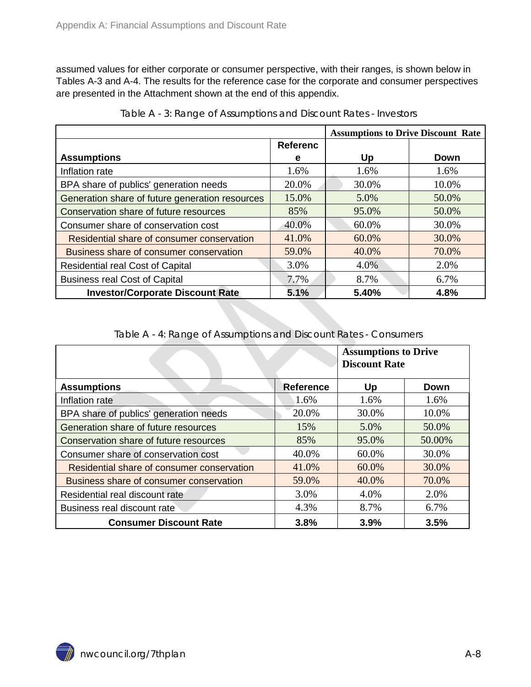assumed values for either corporate or consumer perspective, with their ranges, is shown below in Tables A-3 and A-4. The results for the reference case for the corporate and consumer perspectives are presented in the Attachment shown at the end of this appendix.

<span id="page-7-0"></span>

|                                                 |                 | <b>Assumptions to Drive Discount Rate</b> |       |
|-------------------------------------------------|-----------------|-------------------------------------------|-------|
|                                                 | <b>Referenc</b> |                                           |       |
| <b>Assumptions</b>                              | е               | Up                                        | Down  |
| Inflation rate                                  | 1.6%            | 1.6%                                      | 1.6%  |
| BPA share of publics' generation needs          | 20.0%           | 30.0%                                     | 10.0% |
| Generation share of future generation resources | 15.0%           | 5.0%                                      | 50.0% |
| Conservation share of future resources          | 85%             | 95.0%                                     | 50.0% |
| Consumer share of conservation cost             | 40.0%           | 60.0%                                     | 30.0% |
| Residential share of consumer conservation      | 41.0%           | 60.0%                                     | 30.0% |
| Business share of consumer conservation         | 59.0%           | 40.0%                                     | 70.0% |
| <b>Residential real Cost of Capital</b>         | 3.0%            | 4.0%                                      | 2.0%  |
| <b>Business real Cost of Capital</b>            | 7.7%            | 8.7%                                      | 6.7%  |
| <b>Investor/Corporate Discount Rate</b>         | 5.1%            | 5.40%                                     | 4.8%  |

Table A - 3: Range of Assumptions and Discount Rates - Investors

| Table A - 4: Range of Assumptions and Discount Rates - Consumers |  |  |
|------------------------------------------------------------------|--|--|
|                                                                  |  |  |

<span id="page-7-1"></span>

|                                            |           | <b>Assumptions to Drive</b><br><b>Discount Rate</b> |        |
|--------------------------------------------|-----------|-----------------------------------------------------|--------|
| <b>Assumptions</b>                         | Reference | Up                                                  | Down   |
| Inflation rate                             | 1.6%      | 1.6%                                                | 1.6%   |
| BPA share of publics' generation needs     | 20.0%     | 30.0%                                               | 10.0%  |
| Generation share of future resources       | 15%       | 5.0%                                                | 50.0%  |
| Conservation share of future resources     | 85%       | 95.0%                                               | 50.00% |
| Consumer share of conservation cost        | 40.0%     | 60.0%                                               | 30.0%  |
| Residential share of consumer conservation | 41.0%     | 60.0%                                               | 30.0%  |
| Business share of consumer conservation    | 59.0%     | 40.0%                                               | 70.0%  |
| Residential real discount rate             | 3.0%      | 4.0%                                                | 2.0%   |
| Business real discount rate                | 4.3%      | 8.7%                                                | 6.7%   |
| <b>Consumer Discount Rate</b>              | 3.8%      | 3.9%                                                | 3.5%   |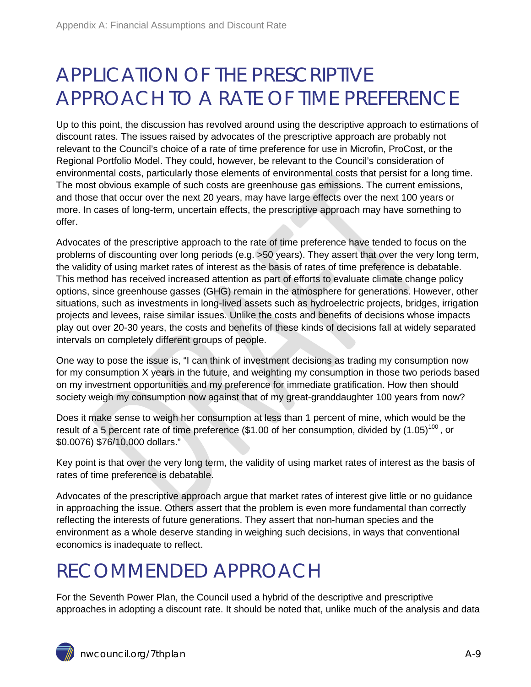### <span id="page-8-0"></span>APPLICATION OF THE PRESCRIPTIVE APPROACH TO A RATE OF TIME PREFERENCE

Up to this point, the discussion has revolved around using the descriptive approach to estimations of discount rates. The issues raised by advocates of the prescriptive approach are probably not relevant to the Council's choice of a rate of time preference for use in Microfin, ProCost, or the Regional Portfolio Model. They could, however, be relevant to the Council's consideration of environmental costs, particularly those elements of environmental costs that persist for a long time. The most obvious example of such costs are greenhouse gas emissions. The current emissions, and those that occur over the next 20 years, may have large effects over the next 100 years or more. In cases of long-term, uncertain effects, the prescriptive approach may have something to offer.

Advocates of the prescriptive approach to the rate of time preference have tended to focus on the problems of discounting over long periods (e.g. >50 years). They assert that over the very long term, the validity of using market rates of interest as the basis of rates of time preference is debatable. This method has received increased attention as part of efforts to evaluate climate change policy options, since greenhouse gasses (GHG) remain in the atmosphere for generations. However, other situations, such as investments in long-lived assets such as hydroelectric projects, bridges, irrigation projects and levees, raise similar issues. Unlike the costs and benefits of decisions whose impacts play out over 20-30 years, the costs and benefits of these kinds of decisions fall at widely separated intervals on completely different groups of people.

One way to pose the issue is, "I can think of investment decisions as trading my consumption now for my consumption X years in the future, and weighting my consumption in those two periods based on my investment opportunities and my preference for immediate gratification. How then should society weigh my consumption now against that of my great-granddaughter 100 years from now?

Does it make sense to weigh her consumption at less than 1 percent of mine, which would be the result of a 5 percent rate of time preference (\$1.00 of her consumption, divided by (1.05)<sup>100</sup>, or \$0.0076) \$76/10,000 dollars."

Key point is that over the very long term, the validity of using market rates of interest as the basis of rates of time preference is debatable.

Advocates of the prescriptive approach argue that market rates of interest give little or no guidance in approaching the issue. Others assert that the problem is even more fundamental than correctly reflecting the interests of future generations. They assert that non-human species and the environment as a whole deserve standing in weighing such decisions, in ways that conventional economics is inadequate to reflect.

### <span id="page-8-1"></span>RECOMMENDED APPROACH

For the Seventh Power Plan, the Council used a hybrid of the descriptive and prescriptive approaches in adopting a discount rate. It should be noted that, unlike much of the analysis and data

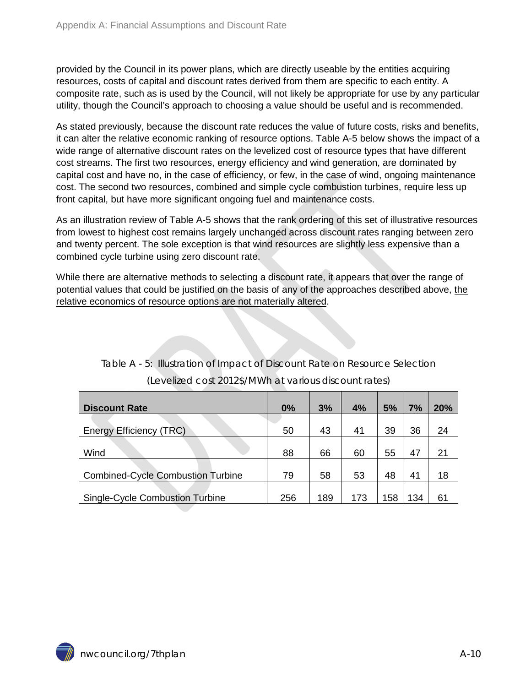provided by the Council in its power plans, which are directly useable by the entities acquiring resources, costs of capital and discount rates derived from them are specific to each entity. A composite rate, such as is used by the Council, will not likely be appropriate for use by any particular utility, though the Council's approach to choosing a value should be useful and is recommended.

As stated previously, because the discount rate reduces the value of future costs, risks and benefits, it can alter the relative economic ranking of resource options. Table A-5 below shows the impact of a wide range of alternative discount rates on the levelized cost of resource types that have different cost streams. The first two resources, energy efficiency and wind generation, are dominated by capital cost and have no, in the case of efficiency, or few, in the case of wind, ongoing maintenance cost. The second two resources, combined and simple cycle combustion turbines, require less up front capital, but have more significant ongoing fuel and maintenance costs.

As an illustration review of Table A-5 shows that the rank ordering of this set of illustrative resources from lowest to highest cost remains largely unchanged across discount rates ranging between zero and twenty percent. The sole exception is that wind resources are slightly less expensive than a combined cycle turbine using zero discount rate.

While there are alternative methods to selecting a discount rate, it appears that over the range of potential values that could be justified on the basis of any of the approaches described above, the relative economics of resource options are not materially altered.

<span id="page-9-2"></span><span id="page-9-1"></span><span id="page-9-0"></span>

|                                          | 0%  | 3%  | 4%  | 5% | 7%  | 20% |
|------------------------------------------|-----|-----|-----|----|-----|-----|
| <b>Discount Rate</b>                     |     |     |     |    |     |     |
|                                          |     |     |     |    |     |     |
| <b>Efficiency (TRC)</b><br>Energy        | 50  | 43  | 41  | 39 | 36  | 24  |
|                                          |     |     |     |    |     |     |
| Wind                                     | 88  | 66  | 60  | 55 | 47  | 21  |
|                                          |     |     |     |    |     |     |
| <b>Combined-Cycle Combustion Turbine</b> | 79  | 58  | 53  | 48 | 41  | 18  |
|                                          |     |     |     |    |     |     |
| <b>Single-Cycle Combustion Turbine</b>   | 256 | 189 | 173 | 58 | 134 | 61  |

|  |  | Table A - 5: Illustration of Impact of Discount Rate on Resource Selection |  |
|--|--|----------------------------------------------------------------------------|--|
|  |  | (Levelized cost 2012\$/MWh at various discount rates)                      |  |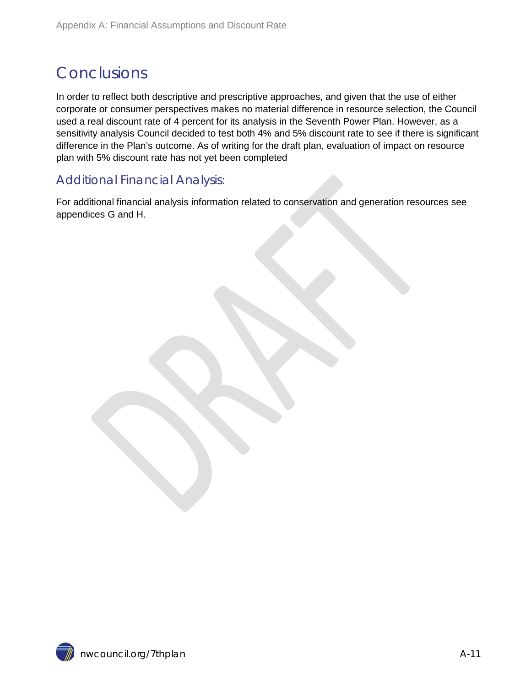#### Conclusions

In order to reflect both descriptive and prescriptive approaches, and given that the use of either corporate or consumer perspectives makes no material difference in resource selection, the Council used a real discount rate of 4 percent for its analysis in the Seventh Power Plan. However, as a sensitivity analysis Council decided to test both 4% and 5% discount rate to see if there is significant difference in the Plan's outcome. As of writing for the draft plan, evaluation of impact on resource plan with 5% discount rate has not yet been completed

#### <span id="page-10-0"></span>Additional Financial Analysis:

For additional financial analysis information related to conservation and generation resources see appendices G and H.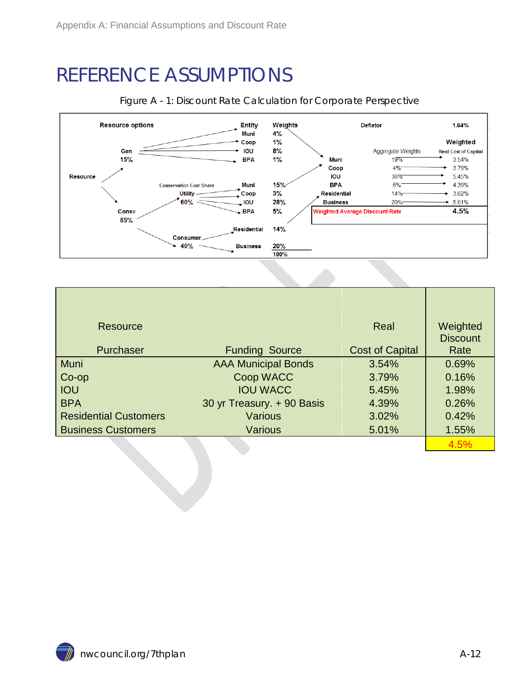#### <span id="page-11-0"></span>REFERENCE ASSUMPTIONS



#### <span id="page-11-1"></span>Figure A - 1: Discount Rate Calculation for Corporate Perspective

| Resource                     |                            | Real                   | Weighted<br><b>Discount</b> |
|------------------------------|----------------------------|------------------------|-----------------------------|
| Purchaser                    | <b>Funding Source</b>      | <b>Cost of Capital</b> | Rate                        |
| <b>Muni</b>                  | <b>AAA Municipal Bonds</b> | 3.54%                  | 0.69%                       |
| Co-op                        | Coop WACC                  | 3.79%                  | 0.16%                       |
| <b>IOU</b>                   | <b>IOU WACC</b>            | 5.45%                  | 1.98%                       |
| <b>BPA</b>                   | 30 yr Treasury. + 90 Basis | 4.39%                  | 0.26%                       |
| <b>Residential Customers</b> | <b>Various</b>             | 3.02%                  | 0.42%                       |
| <b>Business Customers</b>    | <b>Various</b>             | 5.01%                  | 1.55%                       |
|                              |                            |                        | 4.5%                        |